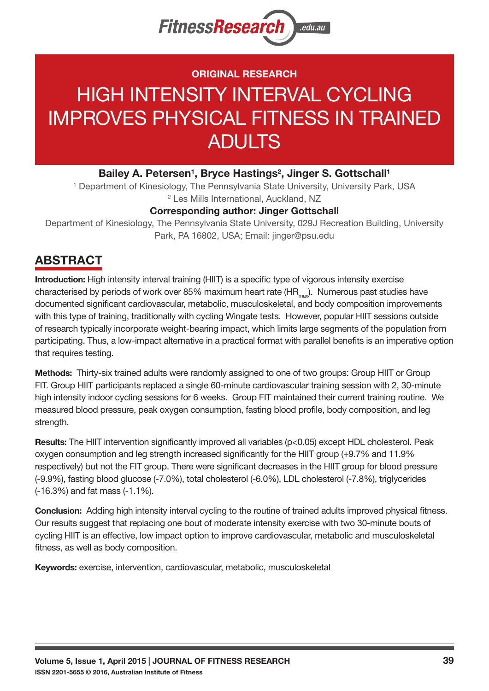

## ORIGINAL RESEARCH

# HIGH INTENSITY INTERVAL CYCLING IMPROVES PHYSICAL FITNESS IN TRAINED ADULTS

#### Bailey A. Petersen<sup>1</sup>, Bryce Hastings<sup>2</sup>, Jinger S. Gottschall<sup>1</sup>

<sup>1</sup> Department of Kinesiology, The Pennsylvania State University, University Park, USA 2 Les Mills International, Auckland, NZ

#### Corresponding author: Jinger Gottschall

Department of Kinesiology, The Pennsylvania State University, 029J Recreation Building, University Park, PA 16802, USA; Email: jinger@psu.edu

# ABSTRACT

Introduction: High intensity interval training (HIIT) is a specific type of vigorous intensity exercise characterised by periods of work over 85% maximum heart rate ( $HR_{max}$ ). Numerous past studies have documented significant cardiovascular, metabolic, musculoskeletal, and body composition improvements with this type of training, traditionally with cycling Wingate tests. However, popular HIIT sessions outside of research typically incorporate weight-bearing impact, which limits large segments of the population from participating. Thus, a low-impact alternative in a practical format with parallel benefits is an imperative option that requires testing.

Methods: Thirty-six trained adults were randomly assigned to one of two groups: Group HIIT or Group FIT. Group HIIT participants replaced a single 60-minute cardiovascular training session with 2, 30-minute high intensity indoor cycling sessions for 6 weeks. Group FIT maintained their current training routine. We measured blood pressure, peak oxygen consumption, fasting blood profile, body composition, and leg strength.

Results: The HIIT intervention significantly improved all variables (p<0.05) except HDL cholesterol. Peak oxygen consumption and leg strength increased significantly for the HIIT group (+9.7% and 11.9% respectively) but not the FIT group. There were significant decreases in the HIIT group for blood pressure (-9.9%), fasting blood glucose (-7.0%), total cholesterol (-6.0%), LDL cholesterol (-7.8%), triglycerides (-16.3%) and fat mass (-1.1%).

Conclusion: Adding high intensity interval cycling to the routine of trained adults improved physical fitness. Our results suggest that replacing one bout of moderate intensity exercise with two 30-minute bouts of cycling HIIT is an effective, low impact option to improve cardiovascular, metabolic and musculoskeletal fitness, as well as body composition.

Keywords: exercise, intervention, cardiovascular, metabolic, musculoskeletal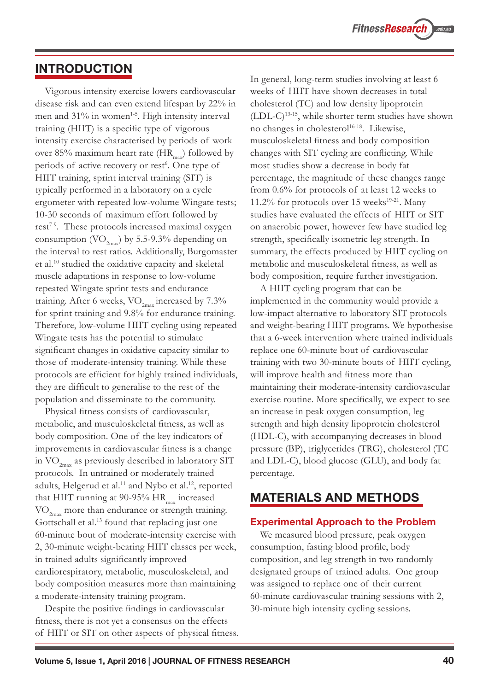### INTRODUCTION

Vigorous intensity exercise lowers cardiovascular disease risk and can even extend lifespan by 22% in men and 31% in women<sup>1-5</sup>. High intensity interval training (HIIT) is a specific type of vigorous intensity exercise characterised by periods of work over 85% maximum heart rate  $(HR_{\text{max}})$  followed by periods of active recovery or rest<sup>6</sup>. One type of HIIT training, sprint interval training (SIT) is typically performed in a laboratory on a cycle ergometer with repeated low-volume Wingate tests; 10-30 seconds of maximum effort followed by rest<sup> $7-9$ </sup>. These protocols increased maximal oxygen consumption  $\langle\mathrm{VO}_{2\text{max}}\rangle$  by 5.5-9.3% depending on the interval to rest ratios. Additionally, Burgomaster et al.10 studied the oxidative capacity and skeletal muscle adaptations in response to low-volume repeated Wingate sprint tests and endurance training. After 6 weeks,  $\rm VO_{2max}$  increased by 7.3% for sprint training and 9.8% for endurance training. Therefore, low-volume HIIT cycling using repeated Wingate tests has the potential to stimulate significant changes in oxidative capacity similar to those of moderate-intensity training. While these protocols are efficient for highly trained individuals, they are difficult to generalise to the rest of the population and disseminate to the community.

Physical fitness consists of cardiovascular, metabolic, and musculoskeletal fitness, as well as body composition. One of the key indicators of improvements in cardiovascular fitness is a change in  $\text{VO}_{2\text{max}}$  as previously described in laboratory SIT protocols. In untrained or moderately trained adults, Helgerud et al.<sup>11</sup> and Nybo et al.<sup>12</sup>, reported that HIIT running at 90-95%  $HR_{max}$  increased VO<sub>2max</sub> more than endurance or strength training. Gottschall et al.<sup>13</sup> found that replacing just one 60-minute bout of moderate-intensity exercise with 2, 30-minute weight-bearing HIIT classes per week, in trained adults significantly improved cardiorespiratory, metabolic, musculoskeletal, and body composition measures more than maintaining a moderate-intensity training program.

Despite the positive findings in cardiovascular fitness, there is not yet a consensus on the effects of HIIT or SIT on other aspects of physical fitness. In general, long-term studies involving at least 6 weeks of HIIT have shown decreases in total cholesterol (TC) and low density lipoprotein  $(LDL-C)^{13-15}$ , while shorter term studies have shown no changes in cholesterol<sup>16-18</sup>. Likewise, musculoskeletal fitness and body composition changes with SIT cycling are conflicting. While most studies show a decrease in body fat percentage, the magnitude of these changes range from 0.6% for protocols of at least 12 weeks to 11.2% for protocols over 15 weeks<sup>19-21</sup>. Many studies have evaluated the effects of HIIT or SIT on anaerobic power, however few have studied leg strength, specifically isometric leg strength. In summary, the effects produced by HIIT cycling on metabolic and musculoskeletal fitness, as well as body composition, require further investigation.

A HIIT cycling program that can be implemented in the community would provide a low-impact alternative to laboratory SIT protocols and weight-bearing HIIT programs. We hypothesise that a 6-week intervention where trained individuals replace one 60-minute bout of cardiovascular training with two 30-minute bouts of HIIT cycling, will improve health and fitness more than maintaining their moderate-intensity cardiovascular exercise routine. More specifically, we expect to see an increase in peak oxygen consumption, leg strength and high density lipoprotein cholesterol (HDL-C), with accompanying decreases in blood pressure (BP), triglycerides (TRG), cholesterol (TC and LDL-C), blood glucose (GLU), and body fat percentage.

### MATERIALS AND METHODS

#### Experimental Approach to the Problem

We measured blood pressure, peak oxygen consumption, fasting blood profile, body composition, and leg strength in two randomly designated groups of trained adults. One group was assigned to replace one of their current 60-minute cardiovascular training sessions with 2, 30-minute high intensity cycling sessions.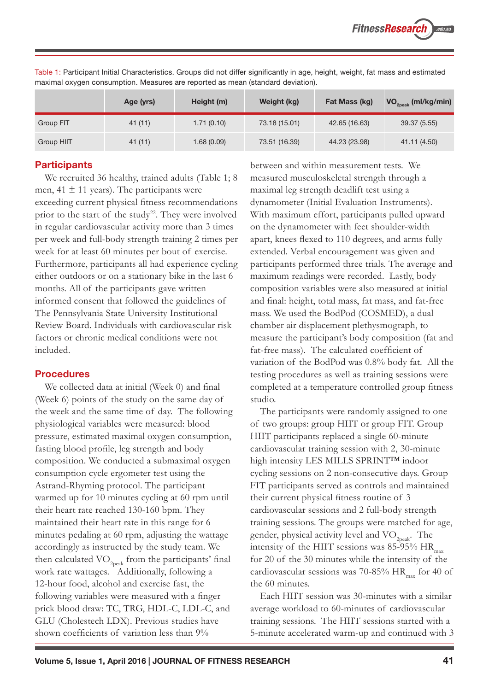|            | Age (yrs) | Height (m)  | Weight (kg)   | Fat Mass (kg) | $VO_{2peak}$ (ml/kg/min) |
|------------|-----------|-------------|---------------|---------------|--------------------------|
| Group FIT  | 41(11)    | 1.71(0.10)  | 73.18 (15.01) | 42.65 (16.63) | 39.37 (5.55)             |
| Group HIIT | 41 (11)   | 1.68 (0.09) | 73.51 (16.39) | 44.23 (23.98) | 41.11 (4.50)             |

Table 1: Participant Initial Characteristics. Groups did not differ significantly in age, height, weight, fat mass and estimated maximal oxygen consumption. Measures are reported as mean (standard deviation).

#### **Participants**

We recruited 36 healthy, trained adults (Table 1; 8 men,  $41 \pm 11$  years). The participants were exceeding current physical fitness recommendations prior to the start of the study<sup>22</sup>. They were involved in regular cardiovascular activity more than 3 times per week and full-body strength training 2 times per week for at least 60 minutes per bout of exercise. Furthermore, participants all had experience cycling either outdoors or on a stationary bike in the last 6 months. All of the participants gave written informed consent that followed the guidelines of The Pennsylvania State University Institutional Review Board. Individuals with cardiovascular risk factors or chronic medical conditions were not included.

#### **Procedures**

We collected data at initial (Week 0) and final (Week 6) points of the study on the same day of the week and the same time of day. The following physiological variables were measured: blood pressure, estimated maximal oxygen consumption, fasting blood profile, leg strength and body composition. We conducted a submaximal oxygen consumption cycle ergometer test using the Astrand-Rhyming protocol. The participant warmed up for 10 minutes cycling at 60 rpm until their heart rate reached 130-160 bpm. They maintained their heart rate in this range for 6 minutes pedaling at 60 rpm, adjusting the wattage accordingly as instructed by the study team. We then calculated  $VO_{2nck}$  from the participants' final work rate wattages. Additionally, following a 12-hour food, alcohol and exercise fast, the following variables were measured with a finger prick blood draw: TC, TRG, HDL-C, LDL-C, and GLU (Cholestech LDX). Previous studies have shown coefficients of variation less than 9%

between and within measurement tests. We measured musculoskeletal strength through a maximal leg strength deadlift test using a dynamometer (Initial Evaluation Instruments). With maximum effort, participants pulled upward on the dynamometer with feet shoulder-width apart, knees flexed to 110 degrees, and arms fully extended. Verbal encouragement was given and participants performed three trials. The average and maximum readings were recorded. Lastly, body composition variables were also measured at initial and final: height, total mass, fat mass, and fat-free mass. We used the BodPod (COSMED), a dual chamber air displacement plethysmograph, to measure the participant's body composition (fat and fat-free mass). The calculated coefficient of variation of the BodPod was 0.8% body fat. All the testing procedures as well as training sessions were completed at a temperature controlled group fitness studio.

The participants were randomly assigned to one of two groups: group HIIT or group FIT. Group HIIT participants replaced a single 60-minute cardiovascular training session with 2, 30-minute high intensity LES MILLS SPRINT™ indoor cycling sessions on 2 non-consecutive days. Group FIT participants served as controls and maintained their current physical fitness routine of 3 cardiovascular sessions and 2 full-body strength training sessions. The groups were matched for age, gender, physical activity level and VO<sub>2peak</sub>. The intensity of the HIIT sessions was  $85-95%$  HR<sub>max</sub> for 20 of the 30 minutes while the intensity of the cardiovascular sessions was 70-85% HR $_{max}$  for 40 of the 60 minutes.

Each HIIT session was 30-minutes with a similar average workload to 60-minutes of cardiovascular training sessions. The HIIT sessions started with a 5-minute accelerated warm-up and continued with 3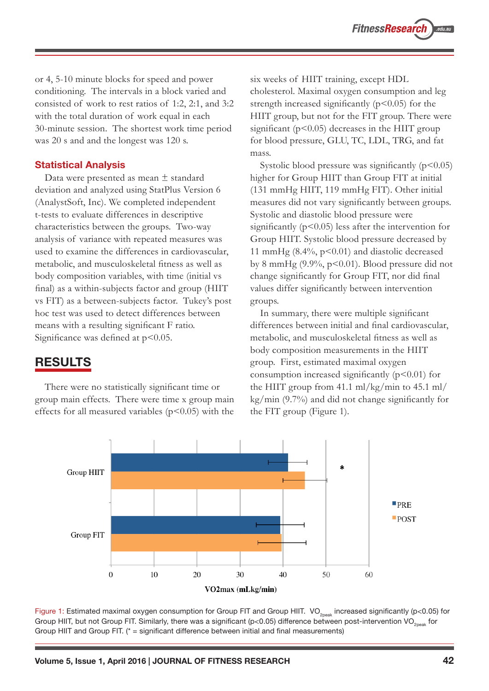or 4, 5-10 minute blocks for speed and power conditioning. The intervals in a block varied and consisted of work to rest ratios of 1:2, 2:1, and 3:2 with the total duration of work equal in each 30-minute session. The shortest work time period was 20 s and and the longest was 120 s.

#### Statistical Analysis

Data were presented as mean ± standard deviation and analyzed using StatPlus Version 6 (AnalystSoft, Inc). We completed independent t-tests to evaluate differences in descriptive characteristics between the groups. Two-way analysis of variance with repeated measures was used to examine the differences in cardiovascular, metabolic, and musculoskeletal fitness as well as body composition variables, with time (initial vs final) as a within-subjects factor and group (HIIT vs FIT) as a between-subjects factor. Tukey's post hoc test was used to detect differences between means with a resulting significant F ratio. Significance was defined at  $p<0.05$ .

### RESULTS

There were no statistically significant time or group main effects. There were time x group main effects for all measured variables ( $p$ <0.05) with the

six weeks of HIIT training, except HDL cholesterol. Maximal oxygen consumption and leg strength increased significantly  $(p<0.05)$  for the HIIT group, but not for the FIT group. There were significant  $(p<0.05)$  decreases in the HIIT group for blood pressure, GLU, TC, LDL, TRG, and fat mass.

Systolic blood pressure was significantly  $(p<0.05)$ higher for Group HIIT than Group FIT at initial (131 mmHg HIIT, 119 mmHg FIT). Other initial measures did not vary significantly between groups. Systolic and diastolic blood pressure were significantly  $(p<0.05)$  less after the intervention for Group HIIT. Systolic blood pressure decreased by 11 mmHg (8.4%, p<0.01) and diastolic decreased by 8 mmHg (9.9%, p<0.01). Blood pressure did not change significantly for Group FIT, nor did final values differ significantly between intervention groups.

In summary, there were multiple significant differences between initial and final cardiovascular, metabolic, and musculoskeletal fitness as well as body composition measurements in the HIIT group. First, estimated maximal oxygen consumption increased significantly  $(p<0.01)$  for the HIIT group from 41.1 ml/kg/min to 45.1 ml/ kg/min (9.7%) and did not change significantly for the FIT group (Figure 1).



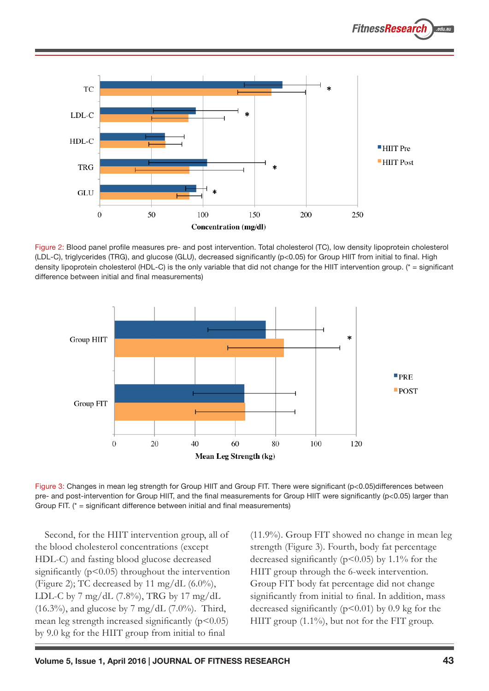

Figure 2: Blood panel profile measures pre- and post intervention. Total cholesterol (TC), low density lipoprotein cholesterol (LDL-C), triglycerides (TRG), and glucose (GLU), decreased significantly (p<0.05) for Group HIIT from initial to final. High density lipoprotein cholesterol (HDL-C) is the only variable that did not change for the HIIT intervention group. (\* = significant difference between initial and final measurements)



Figure 3: Changes in mean leg strength for Group HIIT and Group FIT. There were significant (p<0.05)differences between pre- and post-intervention for Group HIIT, and the final measurements for Group HIIT were significantly (p<0.05) larger than Group FIT. (\* = significant difference between initial and final measurements)

Second, for the HIIT intervention group, all of the blood cholesterol concentrations (except HDL-C) and fasting blood glucose decreased significantly  $(p<0.05)$  throughout the intervention (Figure 2); TC decreased by 11 mg/dL  $(6.0\%)$ , LDL-C by 7 mg/dL (7.8%), TRG by 17 mg/dL  $(16.3\%)$ , and glucose by 7 mg/dL  $(7.0\%)$ . Third, mean leg strength increased significantly  $(p<0.05)$ by 9.0 kg for the HIIT group from initial to final

(11.9%). Group FIT showed no change in mean leg strength (Figure 3). Fourth, body fat percentage decreased significantly ( $p<0.05$ ) by 1.1% for the HIIT group through the 6-week intervention. Group FIT body fat percentage did not change significantly from initial to final. In addition, mass decreased significantly  $(p<0.01)$  by 0.9 kg for the HIIT group (1.1%), but not for the FIT group.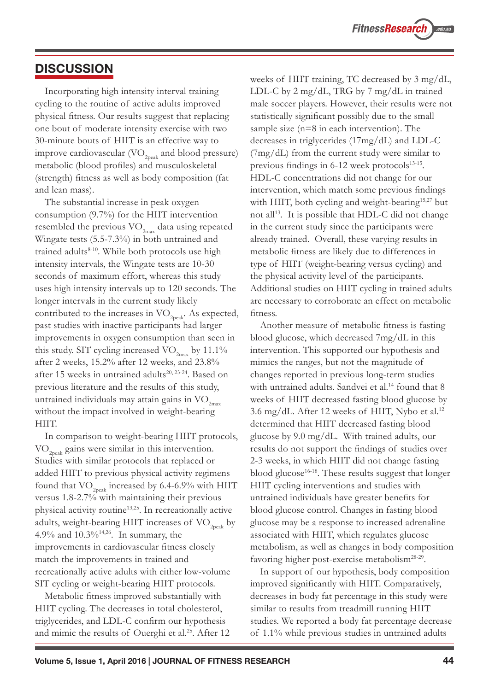### **DISCUSSION**

Incorporating high intensity interval training cycling to the routine of active adults improved physical fitness. Our results suggest that replacing one bout of moderate intensity exercise with two 30-minute bouts of HIIT is an effective way to improve cardiovascular ( $\rm VO_{2peak}$  and blood pressure) metabolic (blood profiles) and musculoskeletal (strength) fitness as well as body composition (fat and lean mass).

The substantial increase in peak oxygen consumption (9.7%) for the HIIT intervention resembled the previous  $\rm VO_{2max}$  data using repeated Wingate tests (5.5-7.3%) in both untrained and trained adults $8-10$ . While both protocols use high intensity intervals, the Wingate tests are 10-30 seconds of maximum effort, whereas this study uses high intensity intervals up to 120 seconds. The longer intervals in the current study likely contributed to the increases in  $\mathrm{VO}_{2\text{peak}}$ . As expected, past studies with inactive participants had larger improvements in oxygen consumption than seen in this study. SIT cycling increased  $\rm VO_{2max}$  by 11.1% after 2 weeks, 15.2% after 12 weeks, and 23.8% after 15 weeks in untrained adults<sup>20, 23-24</sup>. Based on previous literature and the results of this study, untrained individuals may attain gains in  $\mathrm{VO}_{2\mathrm{max}}$ without the impact involved in weight-bearing HIIT.

In comparison to weight-bearing HIIT protocols,  $\rm{VO}_{2n+1}$  gains were similar in this intervention. Studies with similar protocols that replaced or added HIIT to previous physical activity regimens found that  $\rm VO_{\rm 2peak}$  increased by 6.4-6.9% with HIIT versus 1.8-2.7% with maintaining their previous physical activity routine13,25. In recreationally active adults, weight-bearing HIIT increases of  $\rm VO_{2\rm peak}$  by 4.9% and 10.3%14,26. In summary, the improvements in cardiovascular fitness closely match the improvements in trained and recreationally active adults with either low-volume SIT cycling or weight-bearing HIIT protocols.

Metabolic fitness improved substantially with HIIT cycling. The decreases in total cholesterol, triglycerides, and LDL-C confirm our hypothesis and mimic the results of Ouerghi et al.<sup>25</sup>. After 12 weeks of HIIT training, TC decreased by 3 mg/dL, LDL-C by 2 mg/dL, TRG by 7 mg/dL in trained male soccer players. However, their results were not statistically significant possibly due to the small sample size (n=8 in each intervention). The decreases in triglycerides (17mg/dL) and LDL-C (7mg/dL) from the current study were similar to previous findings in  $6-12$  week protocols<sup>13-15</sup>. HDL-C concentrations did not change for our intervention, which match some previous findings with HIIT, both cycling and weight-bearing<sup>15,27</sup> but not all<sup>13</sup>. It is possible that HDL-C did not change in the current study since the participants were already trained. Overall, these varying results in metabolic fitness are likely due to differences in type of HIIT (weight-bearing versus cycling) and the physical activity level of the participants. Additional studies on HIIT cycling in trained adults are necessary to corroborate an effect on metabolic fitness.

Another measure of metabolic fitness is fasting blood glucose, which decreased 7mg/dL in this intervention. This supported our hypothesis and mimics the ranges, but not the magnitude of changes reported in previous long-term studies with untrained adults. Sandvei et al.<sup>14</sup> found that 8 weeks of HIIT decreased fasting blood glucose by 3.6 mg/dL. After 12 weeks of HIIT, Nybo et al.12 determined that HIIT decreased fasting blood glucose by 9.0 mg/dL. With trained adults, our results do not support the findings of studies over 2-3 weeks, in which HIIT did not change fasting blood glucose16-18. These results suggest that longer HIIT cycling interventions and studies with untrained individuals have greater benefits for blood glucose control. Changes in fasting blood glucose may be a response to increased adrenaline associated with HIIT, which regulates glucose metabolism, as well as changes in body composition favoring higher post-exercise metabolism<sup>28-29</sup>.

In support of our hypothesis, body composition improved significantly with HIIT. Comparatively, decreases in body fat percentage in this study were similar to results from treadmill running HIIT studies. We reported a body fat percentage decrease of 1.1% while previous studies in untrained adults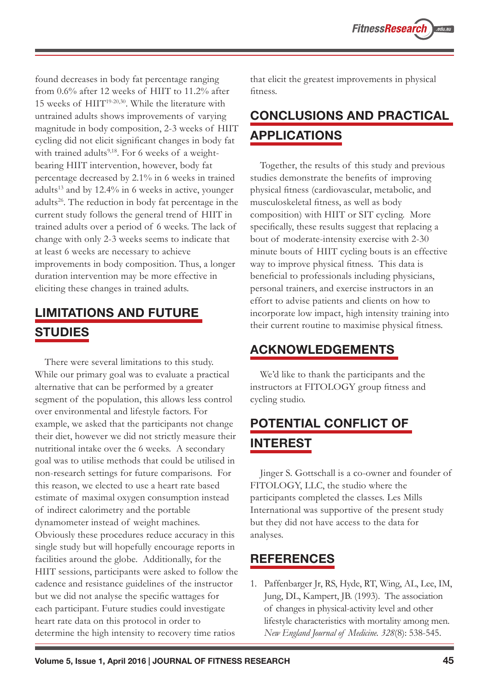found decreases in body fat percentage ranging from 0.6% after 12 weeks of HIIT to 11.2% after 15 weeks of HIIT19-20,30. While the literature with untrained adults shows improvements of varying magnitude in body composition, 2-3 weeks of HIIT cycling did not elicit significant changes in body fat with trained adults<sup>9,18</sup>. For 6 weeks of a weightbearing HIIT intervention, however, body fat percentage decreased by 2.1% in 6 weeks in trained adults<sup>13</sup> and by 12.4% in 6 weeks in active, younger adults<sup>26</sup>. The reduction in body fat percentage in the current study follows the general trend of HIIT in trained adults over a period of 6 weeks. The lack of change with only 2-3 weeks seems to indicate that at least 6 weeks are necessary to achieve improvements in body composition. Thus, a longer duration intervention may be more effective in eliciting these changes in trained adults.

# LIMITATIONS AND FUTURE STUDIES

There were several limitations to this study. While our primary goal was to evaluate a practical alternative that can be performed by a greater segment of the population, this allows less control over environmental and lifestyle factors. For example, we asked that the participants not change their diet, however we did not strictly measure their nutritional intake over the 6 weeks. A secondary goal was to utilise methods that could be utilised in non-research settings for future comparisons. For this reason, we elected to use a heart rate based estimate of maximal oxygen consumption instead of indirect calorimetry and the portable dynamometer instead of weight machines. Obviously these procedures reduce accuracy in this single study but will hopefully encourage reports in facilities around the globe. Additionally, for the HIIT sessions, participants were asked to follow the cadence and resistance guidelines of the instructor but we did not analyse the specific wattages for each participant. Future studies could investigate heart rate data on this protocol in order to determine the high intensity to recovery time ratios

that elicit the greatest improvements in physical fitness.

# CONCLUSIONS AND PRACTICAL APPLICATIONS

Together, the results of this study and previous studies demonstrate the benefits of improving physical fitness (cardiovascular, metabolic, and musculoskeletal fitness, as well as body composition) with HIIT or SIT cycling. More specifically, these results suggest that replacing a bout of moderate-intensity exercise with 2-30 minute bouts of HIIT cycling bouts is an effective way to improve physical fitness. This data is beneficial to professionals including physicians, personal trainers, and exercise instructors in an effort to advise patients and clients on how to incorporate low impact, high intensity training into their current routine to maximise physical fitness.

# ACKNOWLEDGEMENTS

We'd like to thank the participants and the instructors at FITOLOGY group fitness and cycling studio.

# POTENTIAL CONFLICT OF INTEREST

Jinger S. Gottschall is a co-owner and founder of FITOLOGY, LLC, the studio where the participants completed the classes. Les Mills International was supportive of the present study but they did not have access to the data for analyses.

# **REFERENCES**

1. Paffenbarger Jr, RS, Hyde, RT, Wing, AL, Lee, IM, Jung, DL, Kampert, JB. (1993). The association of changes in physical-activity level and other lifestyle characteristics with mortality among men. *New England Journal of Medicine. 328*(8): 538-545.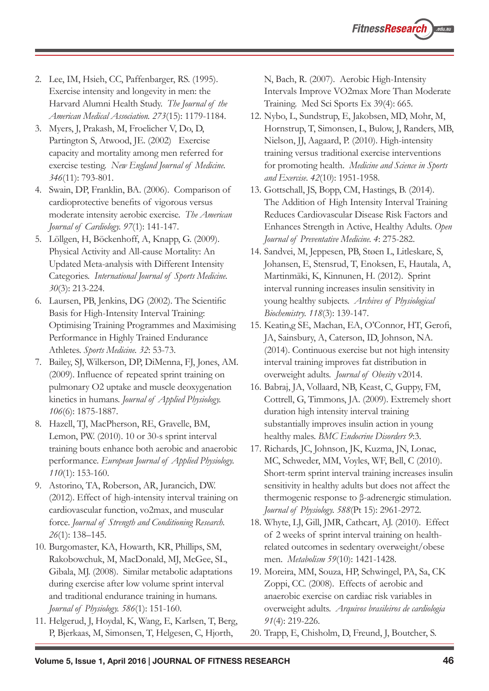- 2. Lee, IM, Hsieh, CC, Paffenbarger, RS. (1995). Exercise intensity and longevity in men: the Harvard Alumni Health Study. *The Journal of the American Medical Association. 273*(15): 1179-1184.
- 3. Myers, J, Prakash, M, Froelicher V, Do, D, Partington S, Atwood, JE. (2002) Exercise capacity and mortality among men referred for exercise testing. *New England Journal of Medicine. 346*(11): 793-801.
- 4. Swain, DP, Franklin, BA. (2006). Comparison of cardioprotective benefits of vigorous versus moderate intensity aerobic exercise. *The American Journal of Cardiology. 97*(1): 141-147.
- 5. Löllgen, H, Böckenhoff, A, Knapp, G. (2009). Physical Activity and All-cause Mortality: An Updated Meta-analysis with Different Intensity Categories. *International Journal of Sports Medicine. 30*(3): 213-224.
- 6. Laursen, PB, Jenkins, DG (2002). The Scientific Basis for High-Intensity Interval Training: Optimising Training Programmes and Maximising Performance in Highly Trained Endurance Athletes. *Sports Medicine. 32*: 53-73.
- 7. Bailey, SJ, Wilkerson, DP, DiMenna, FJ, Jones, AM. (2009). Influence of repeated sprint training on pulmonary O2 uptake and muscle deoxygenation kinetics in humans. *Journal of Applied Physiology. 106*(6): 1875-1887.
- 8. Hazell, TJ, MacPherson, RE, Gravelle, BM, Lemon, PW. (2010). 10 or 30-s sprint interval training bouts enhance both aerobic and anaerobic performance. *European Journal of Applied Physiology. 110*(1): 153-160.
- 9. Astorino, TA, Roberson, AR, Jurancich, DW. (2012). Effect of high-intensity interval training on cardiovascular function, vo2max, and muscular force. *Journal of Strength and Conditioning Research. 26*(1): 138–145.
- 10. Burgomaster, KA, Howarth, KR, Phillips, SM, Rakobowchuk, M, MacDonald, MJ, McGee, SL, Gibala, MJ. (2008). Similar metabolic adaptations during exercise after low volume sprint interval and traditional endurance training in humans. *Journal of Physiology. 586*(1): 151-160.
- 11. Helgerud, J, Hoydal, K, Wang, E, Karlsen, T, Berg, P, Bjerkaas, M, Simonsen, T, Helgesen, C, Hjorth,

N, Bach, R. (2007). Aerobic High-Intensity Intervals Improve VO2max More Than Moderate Training. Med Sci Sports Ex 39(4): 665.

- 12. Nybo, L, Sundstrup, E, Jakobsen, MD, Mohr, M, Hornstrup, T, Simonsen, L, Bulow, J, Randers, MB, Nielson, JJ, Aagaard, P. (2010). High-intensity training versus traditional exercise interventions for promoting health. *Medicine and Science in Sports and Exercise. 42*(10): 1951-1958.
- 13. Gottschall, JS, Bopp, CM, Hastings, B. (2014). The Addition of High Intensity Interval Training Reduces Cardiovascular Disease Risk Factors and Enhances Strength in Active, Healthy Adults. *Open Journal of Preventative Medicine. 4*: 275-282.
- 14. Sandvei, M, Jeppesen, PB, Støen L, Litleskare, S, Johansen, E, Stensrud, T, Enoksen, E, Hautala, A, Martinmäki, K, Kinnunen, H. (2012). Sprint interval running increases insulin sensitivity in young healthy subjects. *Archives of Physiological Biochemistry. 118*(3): 139-147.
- 15. Keatin,g SE, Machan, EA, O'Connor, HT, Gerofi, JA, Sainsbury, A, Caterson, ID, Johnson, NA. (2014). Continuous exercise but not high intensity interval training improves fat distribution in overweight adults. *Journal of Obesity* v2014.
- 16. Babraj, JA, Vollaard, NB, Keast, C, Guppy, FM, Cottrell, G, Timmons, JA. (2009). Extremely short duration high intensity interval training substantially improves insulin action in young healthy males. *BMC Endocrine Disorders 9*:3.
- 17. Richards, JC, Johnson, JK, Kuzma, JN, Lonac, MC, Schweder, MM, Voyles, WF, Bell, C (2010). Short-term sprint interval training increases insulin sensitivity in healthy adults but does not affect the thermogenic response to β-adrenergic stimulation. *Journal of Physiology. 588*(Pt 15): 2961-2972.
- 18. Whyte, LJ, Gill, JMR, Cathcart, AJ. (2010). Effect of 2 weeks of sprint interval training on healthrelated outcomes in sedentary overweight/obese men. *Metabolism 59*(10): 1421-1428.
- 19. Moreira, MM, Souza, HP, Schwingel, PA, Sa, CK Zoppi, CC. (2008). Effects of aerobic and anaerobic exercise on cardiac risk variables in overweight adults. *Arquivos brasileiros de cardiologia 91*(4): 219-226.
- 20. Trapp, E, Chisholm, D, Freund, J, Boutcher, S.